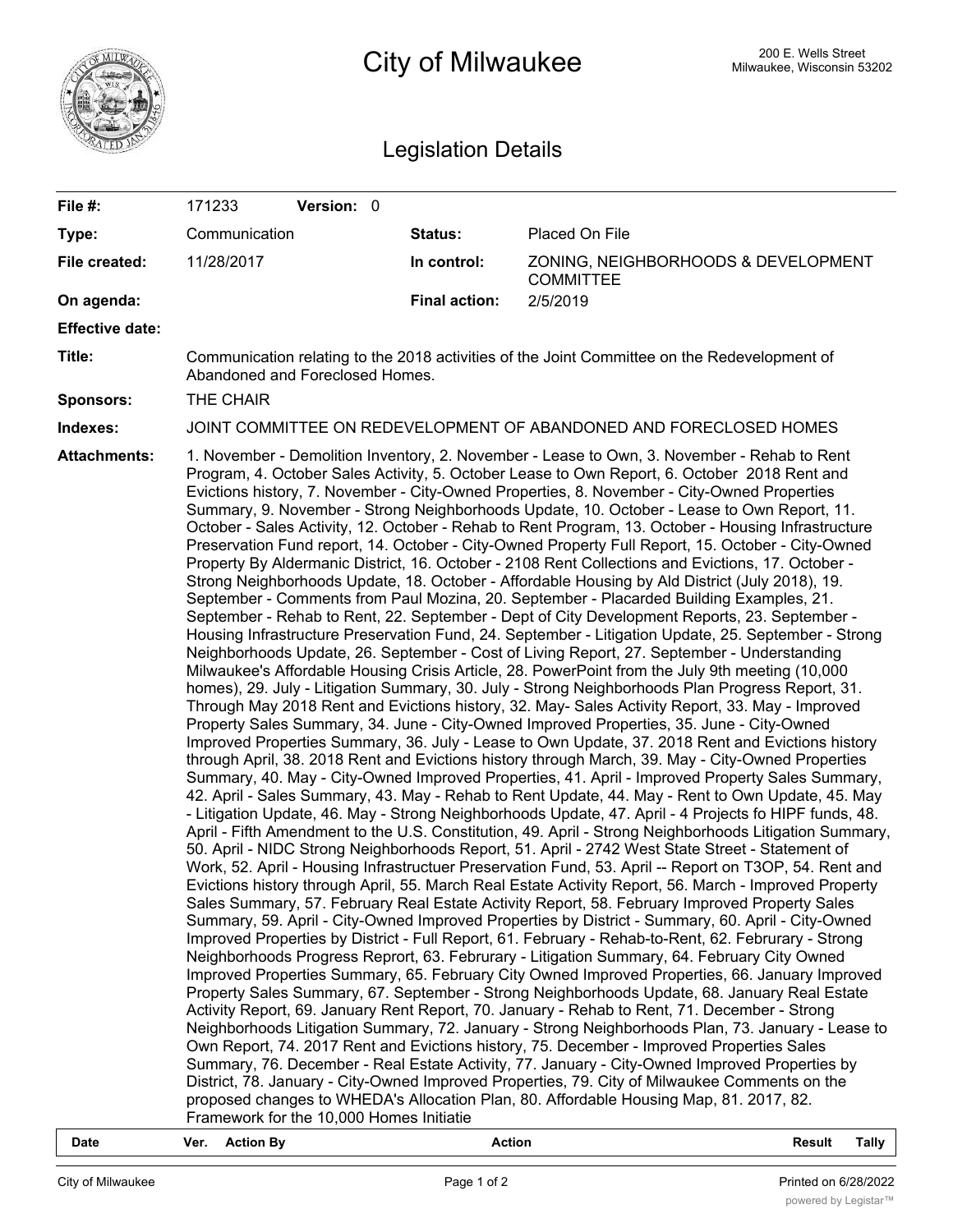

## **200 E. Wells Street** 200 E. Wells Street 200 E. Wells Street 200 E. Wells Street

## Legislation Details

| File #:                | 171233                                                                                                                                                                                                                                                                                                                                                                                                                                                                                                                                                                                                                                                                                                                                                                                                                                                                                                                                                                                                                                                                                                                                                                                                                                                                                                                                                                                                                                                                                                                                                                                                                                                                                                                                                                                                                                                                                                                                                                                                                                                                                                                                                                                                                                                                                                                                                                                                                                                                                                                                                                                                                                                                                                                                                                                                                                                                                                                                                                                                                                                                                                                                                                                                                                                                                                                                                                                                                                                                                                                                                                                                                                                                                                                                                                                | Version: 0 |                      |                                                         |  |  |  |
|------------------------|---------------------------------------------------------------------------------------------------------------------------------------------------------------------------------------------------------------------------------------------------------------------------------------------------------------------------------------------------------------------------------------------------------------------------------------------------------------------------------------------------------------------------------------------------------------------------------------------------------------------------------------------------------------------------------------------------------------------------------------------------------------------------------------------------------------------------------------------------------------------------------------------------------------------------------------------------------------------------------------------------------------------------------------------------------------------------------------------------------------------------------------------------------------------------------------------------------------------------------------------------------------------------------------------------------------------------------------------------------------------------------------------------------------------------------------------------------------------------------------------------------------------------------------------------------------------------------------------------------------------------------------------------------------------------------------------------------------------------------------------------------------------------------------------------------------------------------------------------------------------------------------------------------------------------------------------------------------------------------------------------------------------------------------------------------------------------------------------------------------------------------------------------------------------------------------------------------------------------------------------------------------------------------------------------------------------------------------------------------------------------------------------------------------------------------------------------------------------------------------------------------------------------------------------------------------------------------------------------------------------------------------------------------------------------------------------------------------------------------------------------------------------------------------------------------------------------------------------------------------------------------------------------------------------------------------------------------------------------------------------------------------------------------------------------------------------------------------------------------------------------------------------------------------------------------------------------------------------------------------------------------------------------------------------------------------------------------------------------------------------------------------------------------------------------------------------------------------------------------------------------------------------------------------------------------------------------------------------------------------------------------------------------------------------------------------------------------------------------------------------------------------------------------------|------------|----------------------|---------------------------------------------------------|--|--|--|
| Type:                  | Communication                                                                                                                                                                                                                                                                                                                                                                                                                                                                                                                                                                                                                                                                                                                                                                                                                                                                                                                                                                                                                                                                                                                                                                                                                                                                                                                                                                                                                                                                                                                                                                                                                                                                                                                                                                                                                                                                                                                                                                                                                                                                                                                                                                                                                                                                                                                                                                                                                                                                                                                                                                                                                                                                                                                                                                                                                                                                                                                                                                                                                                                                                                                                                                                                                                                                                                                                                                                                                                                                                                                                                                                                                                                                                                                                                                         |            | Status:              | Placed On File                                          |  |  |  |
| File created:          | 11/28/2017                                                                                                                                                                                                                                                                                                                                                                                                                                                                                                                                                                                                                                                                                                                                                                                                                                                                                                                                                                                                                                                                                                                                                                                                                                                                                                                                                                                                                                                                                                                                                                                                                                                                                                                                                                                                                                                                                                                                                                                                                                                                                                                                                                                                                                                                                                                                                                                                                                                                                                                                                                                                                                                                                                                                                                                                                                                                                                                                                                                                                                                                                                                                                                                                                                                                                                                                                                                                                                                                                                                                                                                                                                                                                                                                                                            |            | In control:          | ZONING, NEIGHBORHOODS & DEVELOPMENT<br><b>COMMITTEE</b> |  |  |  |
| On agenda:             |                                                                                                                                                                                                                                                                                                                                                                                                                                                                                                                                                                                                                                                                                                                                                                                                                                                                                                                                                                                                                                                                                                                                                                                                                                                                                                                                                                                                                                                                                                                                                                                                                                                                                                                                                                                                                                                                                                                                                                                                                                                                                                                                                                                                                                                                                                                                                                                                                                                                                                                                                                                                                                                                                                                                                                                                                                                                                                                                                                                                                                                                                                                                                                                                                                                                                                                                                                                                                                                                                                                                                                                                                                                                                                                                                                                       |            | <b>Final action:</b> | 2/5/2019                                                |  |  |  |
| <b>Effective date:</b> |                                                                                                                                                                                                                                                                                                                                                                                                                                                                                                                                                                                                                                                                                                                                                                                                                                                                                                                                                                                                                                                                                                                                                                                                                                                                                                                                                                                                                                                                                                                                                                                                                                                                                                                                                                                                                                                                                                                                                                                                                                                                                                                                                                                                                                                                                                                                                                                                                                                                                                                                                                                                                                                                                                                                                                                                                                                                                                                                                                                                                                                                                                                                                                                                                                                                                                                                                                                                                                                                                                                                                                                                                                                                                                                                                                                       |            |                      |                                                         |  |  |  |
| Title:                 | Communication relating to the 2018 activities of the Joint Committee on the Redevelopment of<br>Abandoned and Foreclosed Homes.                                                                                                                                                                                                                                                                                                                                                                                                                                                                                                                                                                                                                                                                                                                                                                                                                                                                                                                                                                                                                                                                                                                                                                                                                                                                                                                                                                                                                                                                                                                                                                                                                                                                                                                                                                                                                                                                                                                                                                                                                                                                                                                                                                                                                                                                                                                                                                                                                                                                                                                                                                                                                                                                                                                                                                                                                                                                                                                                                                                                                                                                                                                                                                                                                                                                                                                                                                                                                                                                                                                                                                                                                                                       |            |                      |                                                         |  |  |  |
| Sponsors:              | THE CHAIR                                                                                                                                                                                                                                                                                                                                                                                                                                                                                                                                                                                                                                                                                                                                                                                                                                                                                                                                                                                                                                                                                                                                                                                                                                                                                                                                                                                                                                                                                                                                                                                                                                                                                                                                                                                                                                                                                                                                                                                                                                                                                                                                                                                                                                                                                                                                                                                                                                                                                                                                                                                                                                                                                                                                                                                                                                                                                                                                                                                                                                                                                                                                                                                                                                                                                                                                                                                                                                                                                                                                                                                                                                                                                                                                                                             |            |                      |                                                         |  |  |  |
| Indexes:               | JOINT COMMITTEE ON REDEVELOPMENT OF ABANDONED AND FORECLOSED HOMES                                                                                                                                                                                                                                                                                                                                                                                                                                                                                                                                                                                                                                                                                                                                                                                                                                                                                                                                                                                                                                                                                                                                                                                                                                                                                                                                                                                                                                                                                                                                                                                                                                                                                                                                                                                                                                                                                                                                                                                                                                                                                                                                                                                                                                                                                                                                                                                                                                                                                                                                                                                                                                                                                                                                                                                                                                                                                                                                                                                                                                                                                                                                                                                                                                                                                                                                                                                                                                                                                                                                                                                                                                                                                                                    |            |                      |                                                         |  |  |  |
| <b>Attachments:</b>    | 1. November - Demolition Inventory, 2. November - Lease to Own, 3. November - Rehab to Rent<br>Program, 4. October Sales Activity, 5. October Lease to Own Report, 6. October 2018 Rent and<br>Evictions history, 7. November - City-Owned Properties, 8. November - City-Owned Properties<br>Summary, 9. November - Strong Neighborhoods Update, 10. October - Lease to Own Report, 11.<br>October - Sales Activity, 12. October - Rehab to Rent Program, 13. October - Housing Infrastructure<br>Preservation Fund report, 14. October - City-Owned Property Full Report, 15. October - City-Owned<br>Property By Aldermanic District, 16. October - 2108 Rent Collections and Evictions, 17. October -<br>Strong Neighborhoods Update, 18. October - Affordable Housing by Ald District (July 2018), 19.<br>September - Comments from Paul Mozina, 20. September - Placarded Building Examples, 21.<br>September - Rehab to Rent, 22. September - Dept of City Development Reports, 23. September -<br>Housing Infrastructure Preservation Fund, 24. September - Litigation Update, 25. September - Strong<br>Neighborhoods Update, 26. September - Cost of Living Report, 27. September - Understanding<br>Milwaukee's Affordable Housing Crisis Article, 28. PowerPoint from the July 9th meeting (10,000<br>homes), 29. July - Litigation Summary, 30. July - Strong Neighborhoods Plan Progress Report, 31.<br>Through May 2018 Rent and Evictions history, 32. May- Sales Activity Report, 33. May - Improved<br>Property Sales Summary, 34. June - City-Owned Improved Properties, 35. June - City-Owned<br>Improved Properties Summary, 36. July - Lease to Own Update, 37. 2018 Rent and Evictions history<br>through April, 38. 2018 Rent and Evictions history through March, 39. May - City-Owned Properties<br>Summary, 40. May - City-Owned Improved Properties, 41. April - Improved Property Sales Summary,<br>42. April - Sales Summary, 43. May - Rehab to Rent Update, 44. May - Rent to Own Update, 45. May<br>- Litigation Update, 46. May - Strong Neighborhoods Update, 47. April - 4 Projects fo HIPF funds, 48.<br>April - Fifth Amendment to the U.S. Constitution, 49. April - Strong Neighborhoods Litigation Summary,<br>50. April - NIDC Strong Neighborhoods Report, 51. April - 2742 West State Street - Statement of<br>Work, 52. April - Housing Infrastructuer Preservation Fund, 53. April -- Report on T3OP, 54. Rent and<br>Evictions history through April, 55. March Real Estate Activity Report, 56. March - Improved Property<br>Sales Summary, 57. February Real Estate Activity Report, 58. February Improved Property Sales<br>Summary, 59. April - City-Owned Improved Properties by District - Summary, 60. April - City-Owned<br>Improved Properties by District - Full Report, 61. February - Rehab-to-Rent, 62. Februrary - Strong<br>Neighborhoods Progress Reprort, 63. Februrary - Litigation Summary, 64. February City Owned<br>Improved Properties Summary, 65. February City Owned Improved Properties, 66. January Improved<br>Property Sales Summary, 67. September - Strong Neighborhoods Update, 68. January Real Estate<br>Activity Report, 69. January Rent Report, 70. January - Rehab to Rent, 71. December - Strong<br>Neighborhoods Litigation Summary, 72. January - Strong Neighborhoods Plan, 73. January - Lease to<br>Own Report, 74. 2017 Rent and Evictions history, 75. December - Improved Properties Sales<br>Summary, 76. December - Real Estate Activity, 77. January - City-Owned Improved Properties by<br>District, 78. January - City-Owned Improved Properties, 79. City of Milwaukee Comments on the<br>proposed changes to WHEDA's Allocation Plan, 80. Affordable Housing Map, 81. 2017, 82. |            |                      |                                                         |  |  |  |